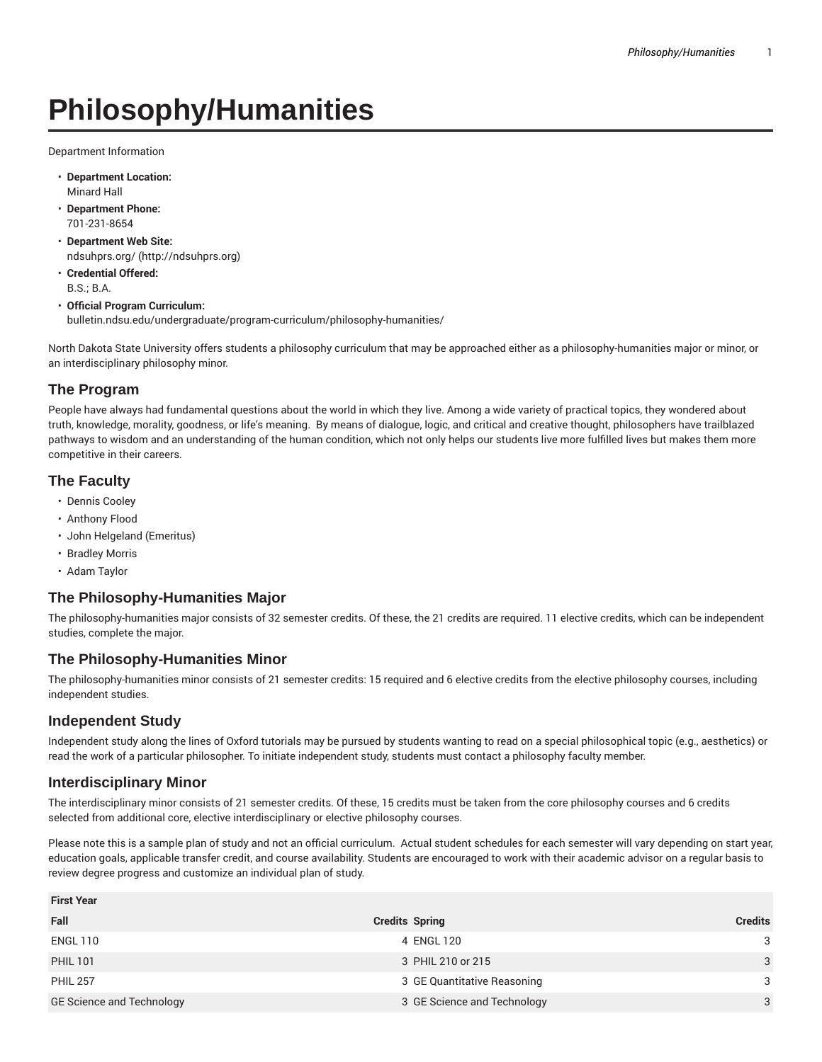# **Philosophy/Humanities**

Department Information

- **Department Location:** Minard Hall
- **Department Phone:** 701-231-8654
- **Department Web Site:** ndsuhprs.org/ (http://ndsuhprs.org)
- **Credential Offered:** B.S.; B.A.
- **Official Program Curriculum:** bulletin.ndsu.edu/undergraduate/program-curriculum/philosophy-humanities/

North Dakota State University offers students a philosophy curriculum that may be approached either as a philosophy-humanities major or minor, or an interdisciplinary philosophy minor.

## **The Program**

People have always had fundamental questions about the world in which they live. Among a wide variety of practical topics, they wondered about truth, knowledge, morality, goodness, or life's meaning. By means of dialogue, logic, and critical and creative thought, philosophers have trailblazed pathways to wisdom and an understanding of the human condition, which not only helps our students live more fulfilled lives but makes them more competitive in their careers.

### **The Faculty**

- Dennis Cooley
- Anthony Flood
- John Helgeland (Emeritus)
- Bradley Morris
- Adam Taylor

### **The Philosophy-Humanities Major**

The philosophy-humanities major consists of 32 semester credits. Of these, the 21 credits are required. 11 elective credits, which can be independent studies, complete the major.

### **The Philosophy-Humanities Minor**

The philosophy-humanities minor consists of 21 semester credits: 15 required and 6 elective credits from the elective philosophy courses, including independent studies.

### **Independent Study**

Independent study along the lines of Oxford tutorials may be pursued by students wanting to read on a special philosophical topic (e.g., aesthetics) or read the work of a particular philosopher. To initiate independent study, students must contact a philosophy faculty member.

### **Interdisciplinary Minor**

**First Year**

The interdisciplinary minor consists of 21 semester credits. Of these, 15 credits must be taken from the core philosophy courses and 6 credits selected from additional core, elective interdisciplinary or elective philosophy courses.

Please note this is a sample plan of study and not an official curriculum. Actual student schedules for each semester will vary depending on start year, education goals, applicable transfer credit, and course availability. Students are encouraged to work with their academic advisor on a regular basis to review degree progress and customize an individual plan of study.

| First Year                       |                             |                |
|----------------------------------|-----------------------------|----------------|
| Fall                             | <b>Credits Spring</b>       | <b>Credits</b> |
| ENGL 110                         | 4 ENGL 120                  | 3              |
| <b>PHIL 101</b>                  | 3 PHIL 210 or 215           | 3              |
| <b>PHIL 257</b>                  | 3 GE Quantitative Reasoning | 3              |
| <b>GE Science and Technology</b> | 3 GE Science and Technology | 3              |